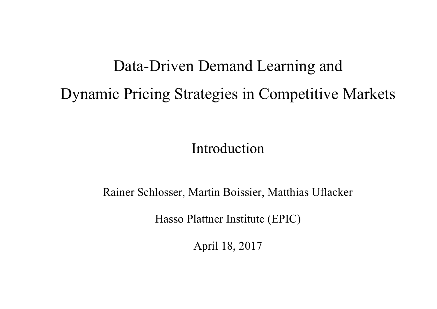# Data-Driven Demand Learning and Dynamic Pricing Strategies in Competitive Markets

Introduction

Rainer Schlosser, Martin Boissier, Matthias Uflacker

Hasso Plattner Institute (EPIC)

April 18, 2017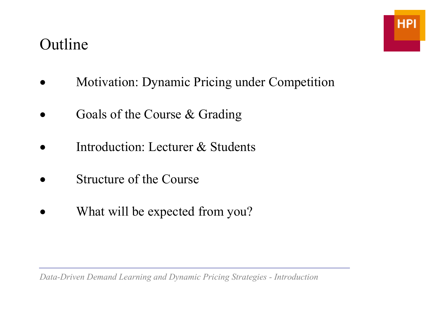### Outline



- Motivation: Dynamic Pricing under Competition
- Goals of the Course & Grading
- Introduction: Lecturer & Students
- Structure of the Course
- What will be expected from you?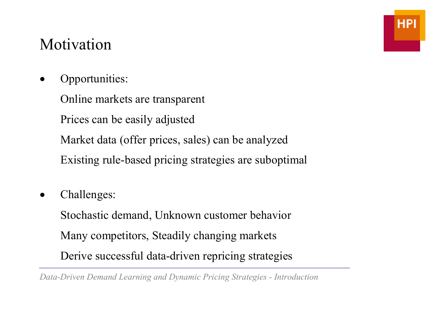# Motivation

• Opportunities:

 Online markets are transparent Prices can be easily adjusted Market data (offer prices, sales) can be analyzed Existing rule-based pricing strategies are suboptimal

• Challenges:

 Stochastic demand, Unknown customer behavior Many competitors, Steadily changing markets Derive successful data-driven repricing strategies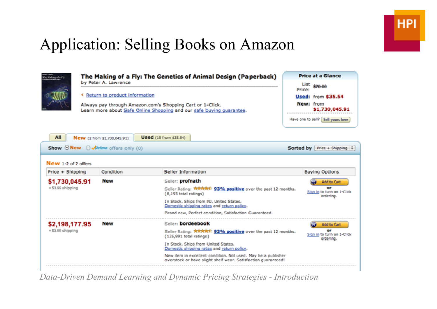# Application: Selling Books on Amazon

| the Making of a the                 | The Making of a Fly: The Genetics of Animal Design (Paperback)<br>by Peter A. Lawrence                                                                                      |                                               |                                                                                                                                                                                                                       |           | <b>Price at a Glance</b><br>List \$70.00                                                          |  |
|-------------------------------------|-----------------------------------------------------------------------------------------------------------------------------------------------------------------------------|-----------------------------------------------|-----------------------------------------------------------------------------------------------------------------------------------------------------------------------------------------------------------------------|-----------|---------------------------------------------------------------------------------------------------|--|
|                                     | <b>K</b> Return to product information<br>Always pay through Amazon.com's Shopping Cart or 1-Click.<br>Learn more about Safe Online Shopping and our safe buying quarantee. |                                               |                                                                                                                                                                                                                       |           | Price:<br>Used: from \$35.54<br>New: from<br>\$1,730,045.91<br>Have one to sell? [Sell yours here |  |
| All                                 | New (2 from \$1,730,045.91)                                                                                                                                                 | <b>Used</b> (15 from \$35.54)                 |                                                                                                                                                                                                                       |           |                                                                                                   |  |
| Show ONew O APrime offers only (0)  |                                                                                                                                                                             |                                               |                                                                                                                                                                                                                       | Sorted by | Price + Shipping $\frac{1}{2}$                                                                    |  |
| New 1-2 of 2 offers                 |                                                                                                                                                                             |                                               |                                                                                                                                                                                                                       |           |                                                                                                   |  |
| Price + Shipping                    | Condition                                                                                                                                                                   | Seller Information                            |                                                                                                                                                                                                                       |           | <b>Buying Options</b>                                                                             |  |
| \$1,730,045.91<br>+ \$3.99 shipping | Mew                                                                                                                                                                         | Seller: profnath<br>(8,193 total ratings)     | Seller Rating: <b>ARRAIL 93% positive</b> over the past 12 months.<br>In Stock, Ships from NJ, United States,<br>Domestic shipping rates and return policy.<br>Brand new, Perfect condition, Satisfaction Guaranteed. |           | Add to Cart<br><b>DIE</b><br>Sign in to turn on 1-Click<br>orderling.                             |  |
| \$2,198,177.95<br>+ \$3.99 shipping | Hew                                                                                                                                                                         | Seller: bordeebook<br>(125,891 total ratings) | Seller Rating: ****** 93% positive over the past 12 months.<br>In Stock, Shins from United States.<br>Domestic shipping rates and return policy.<br>New item in excellent condition. Not used. May be a publisher     |           | Add to Cart<br><b>OB</b><br>Sign in to turn on 1-Click<br>orderling.                              |  |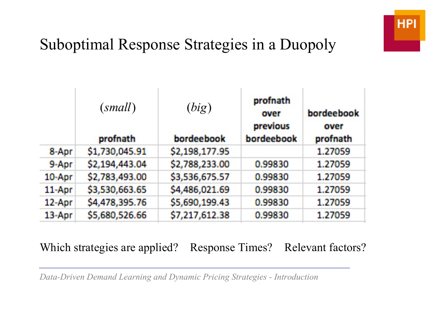# Suboptimal Response Strategies in a Duopoly

|            | (small)<br>profnath | (big)<br>bordeebook | profnath<br>over<br>previous<br>bordeebook | bordeebook<br>over<br>profnath |
|------------|---------------------|---------------------|--------------------------------------------|--------------------------------|
| 8-Apr      | \$1,730,045.91      | \$2,198,177.95      |                                            | 1.27059                        |
| 9-Apr      | \$2,194,443.04      | \$2,788,233.00      | 0.99830                                    | 1.27059                        |
| 10-Apr     | \$2,783,493.00      | \$3,536,675.57      | 0.99830                                    | 1.27059                        |
| 11-Apr     | \$3,530,663.65      | \$4,486,021.69      | 0.99830                                    | 1.27059                        |
| $12 -$ Apr | \$4,478,395.76      | \$5,690,199.43      | 0.99830                                    | 1.27059                        |
| $13 -$ Apr | \$5,680,526.66      | \$7,217,612.38      | 0.99830                                    | 1.27059                        |

#### Which strategies are applied? Response Times? Relevant factors?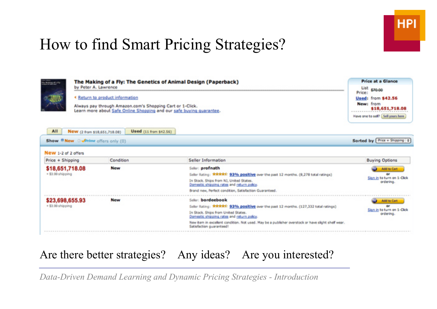# How to find Smart Pricing Strategies?



#### Are there better strategies? Any ideas? Are you interested?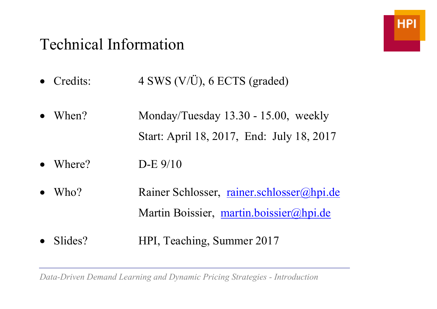### Technical Information



- Credits: 4 SWS (V/Ü), 6 ECTS (graded)
- When? Monday/Tuesday 13.30 15.00, weekly Start: April 18, 2017, End: July 18, 2017
- Where?  $D-E$  9/10
- Who? Rainer Schlosser, rainer.schlosser@hpi.de Martin Boissier, martin.boissier@hpi.de
- Slides? HPI, Teaching, Summer 2017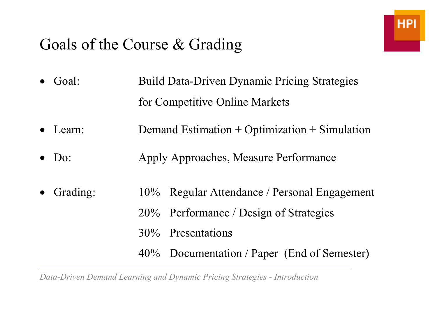### Goals of the Course & Grading

- Goal: Build Data-Driven Dynamic Pricing Strategies for Competitive Online Markets
- Learn: Demand Estimation + Optimization + Simulation
- Do: Apply Approaches, Measure Performance
- Grading: 10% Regular Attendance / Personal Engagement 20% Performance / Design of Strategies
	- 30% Presentations
	- 40% Documentation / Paper (End of Semester)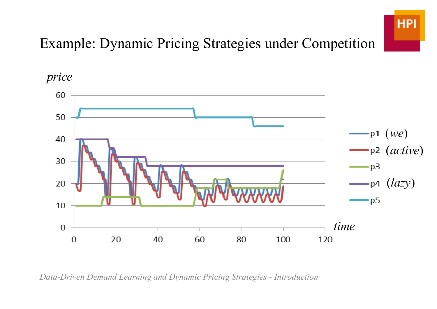

### Example: Dynamic Pricing Strategies under Competition

*price*

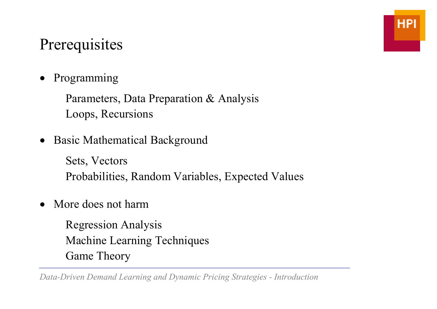# **Prerequisites**

• Programming

 Parameters, Data Preparation & Analysis Loops, Recursions

**Basic Mathematical Background** 

 Sets, Vectors Probabilities, Random Variables, Expected Values

• More does not harm

 Regression Analysis Machine Learning Techniques Game Theory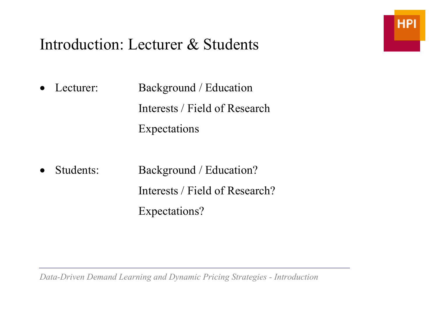### Introduction: Lecturer & Students

**HPI** 

- Lecturer: Background / Education Interests / Field of Research Expectations
- Students: Background / Education? Interests / Field of Research? Expectations?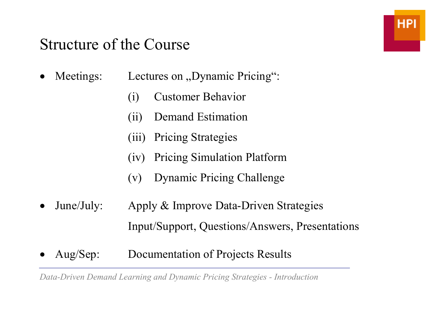#### Structure of the Course

- Meetings: Lectures on "Dynamic Pricing":
	- (i) Customer Behavior
	- (ii) Demand Estimation
	- (iii) Pricing Strategies
	- (iv) Pricing Simulation Platform
	- (v) Dynamic Pricing Challenge
- June/July: Apply & Improve Data-Driven Strategies Input/Support, Questions/Answers, Presentations
- Aug/Sep: Documentation of Projects Results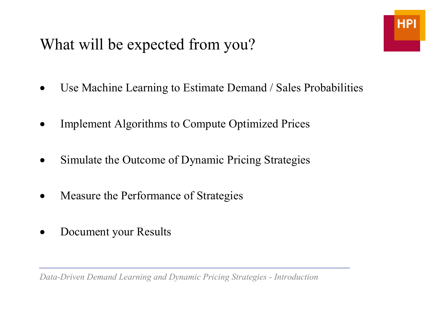# What will be expected from you?

- Use Machine Learning to Estimate Demand / Sales Probabilities
- **Implement Algorithms to Compute Optimized Prices**
- Simulate the Outcome of Dynamic Pricing Strategies
- Measure the Performance of Strategies
- Document your Results